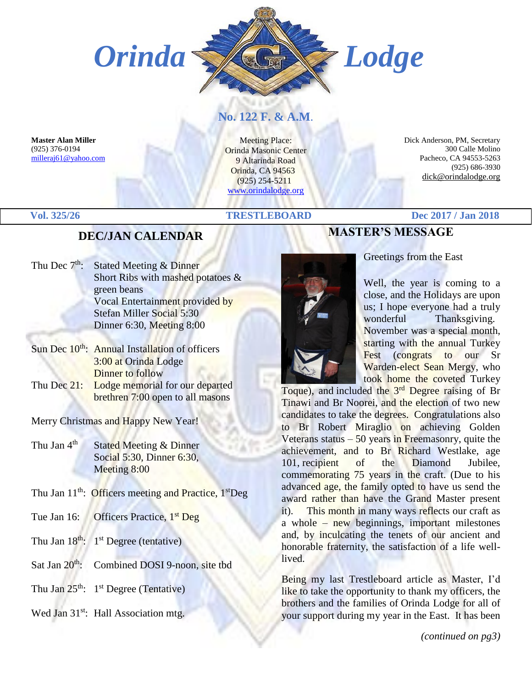

# **No. 122 F. & A.M**.

**Master Alan Miller** (925) 376-0194 [milleraj61@yahoo.com](mailto:milleraj61@yahoo.com)

Meeting Place: Orinda Masonic Center 9 Altarinda Road Orinda, CA 94563 (925) 254-5211 [www.orindalodge.org](http://www.orindalodge.org/)

 Dick Anderson, PM, Secretary 300 Calle Molino Pacheco, CA 94553-5263 (925) 686-3930 dick@orindalodge.org

#### **Vol. 325/26 TRESTLEBOARD Dec 2017 / Jan 2018**

#### **DEC/JAN CALENDAR**

| <b>Stated Meeting &amp; Dinner</b>   |
|--------------------------------------|
| Short Ribs with mashed potatoes $\&$ |
| green beans                          |
| Vocal Entertainment provided by      |
| Stefan Miller Social 5:30            |
| Dinner 6:30, Meeting 8:00            |
|                                      |

- Sun Dec 10<sup>th</sup>: Annual Installation of officers 3:00 at Orinda Lodge Dinner to follow
- Thu Dec 21: Lodge memorial for our departed brethren 7:00 open to all masons

Merry Christmas and Happy New Year!

- Thu Jan 4<sup>th</sup> Stated Meeting & Dinner Social 5:30, Dinner 6:30, Meeting 8:00
- Thu Jan 11<sup>th</sup>: Officers meeting and Practice, 1<sup>st</sup>Deg
- Tue Jan 16: Officers Practice, 1<sup>st</sup> Deg
- Thu Jan  $18^{th}$ :  $1<sup>st</sup>$  Degree (tentative)
- Sat Jan 20<sup>th</sup>: Combined DOSI 9-noon, site tbd
- Thu Jan  $25^{th}$ :  $1^{st}$  Degree (Tentative)
- Wed Jan 31<sup>st</sup>: Hall Association mtg.



Greetings from the East

**MASTER'S MESSAGE**

Well, the year is coming to a close, and the Holidays are upon us; I hope everyone had a truly wonderful Thanksgiving. November was a special month, starting with the annual Turkey Fest (congrats to our Sr Warden-elect Sean Mergy, who took home the coveted Turkey

Toque), and included the 3<sup>rd</sup> Degree raising of Br Tinawi and Br Noorei, and the election of two new candidates to take the degrees. Congratulations also to Br Robert Miraglio on achieving Golden Veterans status  $-50$  years in Freemasonry, quite the achievement, and to Br Richard Westlake, age 101, recipient of the Diamond Jubilee, commemorating 75 years in the craft. (Due to his advanced age, the family opted to have us send the award rather than have the Grand Master present it). This month in many ways reflects our craft as a whole – new beginnings, important milestones and, by inculcating the tenets of our ancient and honorable fraternity, the satisfaction of a life welllived.

Being my last Trestleboard article as Master, I'd like to take the opportunity to thank my officers, the brothers and the families of Orinda Lodge for all of your support during my year in the East. It has been

*(continued on pg3)*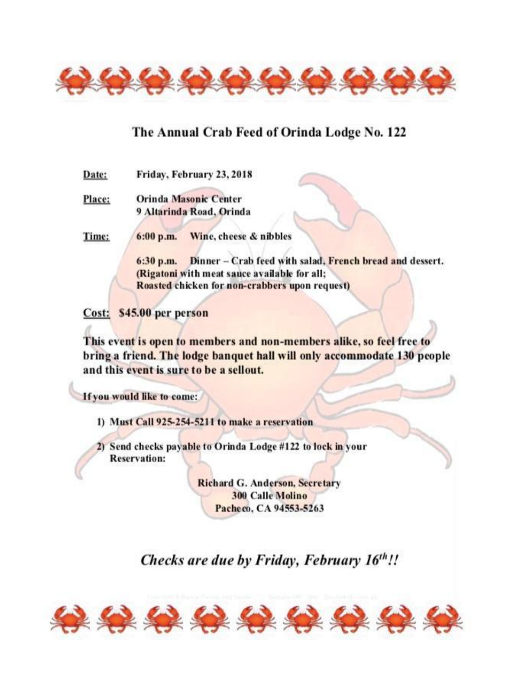

# The Annual Crab Feed of Orinda Lodge No. 122

Friday, February 23, 2018 Date:

Place: **Orinda Masonic Center** 9 Altarinda Road, Orinda

Time:  $6:00 p.m.$ Wine, cheese & nibbles

> 6:30 p.m. Dinner - Crab feed with salad, French bread and dessert. (Rigatoni with meat sauce available for all: Roasted chicken for non-crabbers upon request)

Cost: \$45.00 per person

This event is open to members and non-members alike, so feel free to bring a friend. The lodge banquet hall will only accommodate 130 people and this event is sure to be a sellout.

If you would like to come:

1) Must Call 925-254-5211 to make a reservation

2) Send checks payable to Orinda Lodge #122 to lock in your **Reservation:** 

> **Richard G. Anderson, Secretary 300 Calle Molino** Pacheco, CA 94553-5263

# Checks are due by Friday, February 16th!!

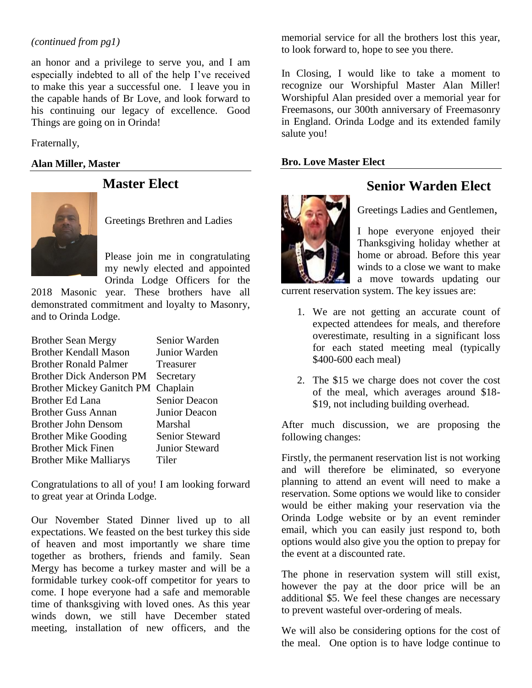#### *(continued from pg1)*

an honor and a privilege to serve you, and I am especially indebted to all of the help I've received to make this year a successful one. I leave you in the capable hands of Br Love, and look forward to his continuing our legacy of excellence. Good Things are going on in Orinda!

Fraternally,

#### **Alan Miller, Master**



**Master Elect**

Greetings Brethren and Ladies

Please join me in congratulating my newly elected and appointed Orinda Lodge Officers for the

2018 Masonic year. These brothers have all demonstrated commitment and loyalty to Masonry, and to Orinda Lodge.

| <b>Brother Sean Mergy</b>        | Senior Warden         |
|----------------------------------|-----------------------|
| <b>Brother Kendall Mason</b>     | Junior Warden         |
| <b>Brother Ronald Palmer</b>     | Treasurer             |
| <b>Brother Dick Anderson PM</b>  | Secretary             |
| <b>Brother Mickey Ganitch PM</b> | Chaplain              |
| <b>Brother Ed Lana</b>           | Senior Deacon         |
| <b>Brother Guss Annan</b>        | Junior Deacon         |
| <b>Brother John Densom</b>       | Marshal               |
| <b>Brother Mike Gooding</b>      | Senior Steward        |
| <b>Brother Mick Finen</b>        | <b>Junior Steward</b> |
| <b>Brother Mike Malliarys</b>    | Tiler                 |
|                                  |                       |

Congratulations to all of you! I am looking forward to great year at Orinda Lodge.

Our November Stated Dinner lived up to all expectations. We feasted on the best turkey this side of heaven and most importantly we share time together as brothers, friends and family. Sean Mergy has become a turkey master and will be a formidable turkey cook-off competitor for years to come. I hope everyone had a safe and memorable time of thanksgiving with loved ones. As this year winds down, we still have December stated meeting, installation of new officers, and the

memorial service for all the brothers lost this year, to look forward to, hope to see you there.

In Closing, I would like to take a moment to recognize our Worshipful Master Alan Miller! Worshipful Alan presided over a memorial year for Freemasons, our 300th anniversary of Freemasonry in England. Orinda Lodge and its extended family salute you!

#### **Bro. Love Master Elect**



# **Senior Warden Elect**

Greetings Ladies and Gentlemen,

I hope everyone enjoyed their Thanksgiving holiday whether at home or abroad. Before this year winds to a close we want to make a move towards updating our

current reservation system. The key issues are:

- 1. We are not getting an accurate count of expected attendees for meals, and therefore overestimate, resulting in a significant loss for each stated meeting meal (typically \$400-600 each meal)
- 2. The \$15 we charge does not cover the cost of the meal, which averages around \$18- \$19, not including building overhead.

After much discussion, we are proposing the following changes:

Firstly, the permanent reservation list is not working and will therefore be eliminated, so everyone planning to attend an event will need to make a reservation. Some options we would like to consider would be either making your reservation via the Orinda Lodge website or by an event reminder email, which you can easily just respond to, both options would also give you the option to prepay for the event at a discounted rate.

The phone in reservation system will still exist, however the pay at the door price will be an additional \$5. We feel these changes are necessary to prevent wasteful over-ordering of meals.

We will also be considering options for the cost of the meal. One option is to have lodge continue to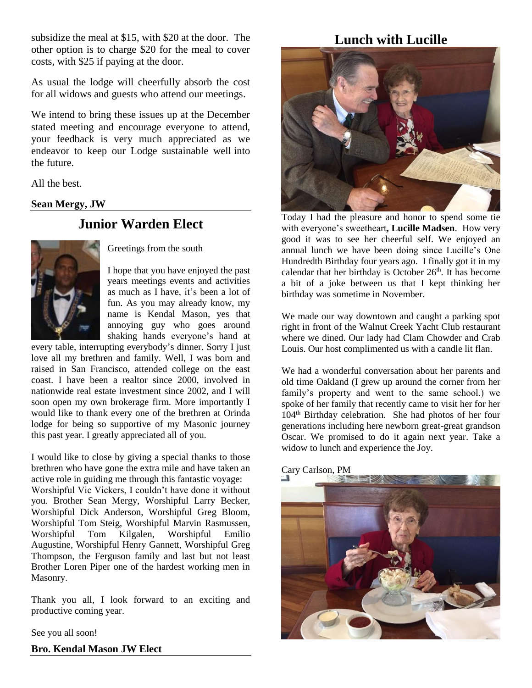subsidize the meal at \$15, with \$20 at the door. The other option is to charge \$20 for the meal to cover costs, with \$25 if paying at the door.

As usual the lodge will cheerfully absorb the cost for all widows and guests who attend our meetings.

We intend to bring these issues up at the December stated meeting and encourage everyone to attend, your feedback is very much appreciated as we endeavor to keep our Lodge sustainable well into the future.

All the best.

#### **Sean Mergy, JW**

# **Junior Warden Elect**



Greetings from the south

I hope that you have enjoyed the past years meetings events and activities as much as I have, it's been a lot of fun. As you may already know, my name is Kendal Mason, yes that annoying guy who goes around shaking hands everyone's hand at

every table, interrupting everybody's dinner. Sorry I just love all my brethren and family. Well, I was born and raised in San Francisco, attended college on the east coast. I have been a realtor since 2000, involved in nationwide real estate investment since 2002, and I will soon open my own brokerage firm. More importantly I would like to thank every one of the brethren at Orinda lodge for being so supportive of my Masonic journey this past year. I greatly appreciated all of you.

I would like to close by giving a special thanks to those brethren who have gone the extra mile and have taken an active role in guiding me through this fantastic voyage: Worshipful Vic Vickers, I couldn't have done it without you. Brother Sean Mergy, Worshipful Larry Becker, Worshipful Dick Anderson, Worshipful Greg Bloom, Worshipful Tom Steig, Worshipful Marvin Rasmussen, Worshipful Tom Kilgalen, Worshipful Emilio Augustine, Worshipful Henry Gannett, Worshipful Greg Thompson, the Ferguson family and last but not least Brother Loren Piper one of the hardest working men in Masonry.

Thank you all, I look forward to an exciting and productive coming year.

See you all soon!

**Bro. Kendal Mason JW Elect**

# **Lunch with Lucille**



Today I had the pleasure and honor to spend some tie with everyone's sweetheart**, Lucille Madsen**. How very good it was to see her cheerful self. We enjoyed an annual lunch we have been doing since Lucille's One Hundredth Birthday four years ago. I finally got it in my calendar that her birthday is October  $26<sup>th</sup>$ . It has become a bit of a joke between us that I kept thinking her birthday was sometime in November.

We made our way downtown and caught a parking spot right in front of the Walnut Creek Yacht Club restaurant where we dined. Our lady had Clam Chowder and Crab Louis. Our host complimented us with a candle lit flan.

We had a wonderful conversation about her parents and old time Oakland (I grew up around the corner from her family's property and went to the same school.) we spoke of her family that recently came to visit her for her 104th Birthday celebration. She had photos of her four generations including here newborn great-great grandson Oscar. We promised to do it again next year. Take a widow to lunch and experience the Joy.

#### Cary Carlson, PM

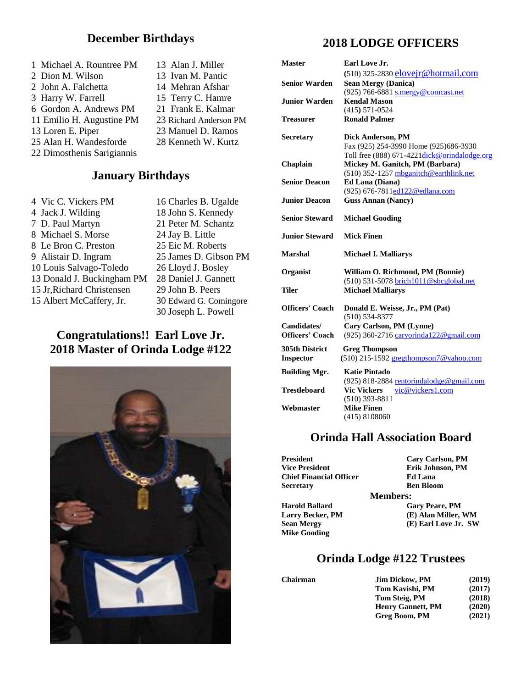#### **December Birthdays**

| 1 Michael A. Rountree PM   | 13 |
|----------------------------|----|
| 2 Dion M. Wilson           | 13 |
| 2 John A. Falchetta        | 14 |
| 3 Harry W. Farrell         | 15 |
| 6 Gordon A. Andrews PM     | 21 |
| 11 Emilio H. Augustine PM  | 23 |
| 13 Loren E. Piper          | 23 |
| 25 Alan H. Wandesforde     | 28 |
| 22 Dimosthenis Sarigiannis |    |

## **January Birthdays**

| 4 Vic C. Vickers PM        |
|----------------------------|
| 4 Jack J. Wilding          |
| 7 D. Paul Martyn           |
| 8 Michael S. Morse         |
| 8 Le Bron C. Preston       |
| 9 Alistair D. Ingram       |
| 10 Louis Salvago-Toledo    |
| 13 Donald J. Buckingham PM |
| 15 Jr, Richard Christensen |
| 15 Albert McCaffery, Jr.   |

16 Charles B. Ugalde 18 John S. Kennedy 21 Peter M. Schantz 24 Jay B. Little 25 Eic M. Roberts 25 James D. Gibson PM 26 Lloyd J. Bosley 1 28 Daniel J. Gannett 29 John B. Peers 30 Edward G. Comingore 30 Joseph L. Powell

Alan J. Miller Ivan M. Pantic Mehran Afshar Terry C. Hamre Frank E. Kalmar Richard Anderson PM Manuel D. Ramos Kenneth W. Kurtz

## **Congratulations!! Earl Love Jr. 2018 Master of Orinda Lodge #122**



## **2018 LODGE OFFICERS**

| <b>Master</b>          | Earl Love Jr.                                         |
|------------------------|-------------------------------------------------------|
|                        | (510) 325-2830 elovejr@hotmail.com                    |
| <b>Senior Warden</b>   | <b>Sean Mergy (Danica)</b>                            |
|                        | (925) 766-6881 s.mergy@comcast.net                    |
| <b>Junior Warden</b>   | <b>Kendal Mason</b>                                   |
|                        | $(415) 571 - 0524$                                    |
| Treasurer              | <b>Ronald Palmer</b>                                  |
| <b>Secretary</b>       | Dick Anderson, PM                                     |
|                        | Fax (925) 254-3990 Home (925) 686-3930                |
|                        | Toll free (888) 671-4221dick@orindalodge.org          |
| Chaplain               | Mickey M. Ganitch, PM (Barbara)                       |
|                        | (510) 352-1257 mbganitch@earthlink.net                |
| <b>Senior Deacon</b>   | Ed Lana (Diana)                                       |
|                        | (925) 676-7811ed122@edlana.com                        |
| <b>Junior Deacon</b>   | <b>Guss Annan (Nancy)</b>                             |
| <b>Senior Steward</b>  | <b>Michael Gooding</b>                                |
| <b>Junior Steward</b>  | <b>Mick Finen</b>                                     |
| <b>Marshal</b>         | <b>Michael I. Malliarys</b>                           |
| Organist               | William O. Richmond, PM (Bonnie)                      |
|                        | (510) 531-5078 brich1011@sbcglobal.net                |
| Tiler                  | <b>Michael Malliarys</b>                              |
| <b>Officers' Coach</b> | Donald E. Weisse, Jr., PM (Pat)<br>$(510) 534 - 8377$ |
| Candidates/            | Cary Carlson, PM (Lynne)                              |
| <b>Officers' Coach</b> | (925) 360-2716 caryorinda122@gmail.com                |
| 305th District         | <b>Greg Thompson</b>                                  |
| Inspector              | (510) 215-1592 gregthompson7@yahoo.com                |
| <b>Building Mgr.</b>   | <b>Katie Pintado</b>                                  |
|                        | (925) 818-2884 rentorindalodge@gmail.com              |
| <b>Trestleboard</b>    | <b>Vic Vickers</b><br>vic@vickers1.com                |
|                        | $(510)$ 393-8811                                      |
| Webmaster              | <b>Mike Finen</b>                                     |
|                        | (415) 8108060                                         |

#### **Orinda Hall Association Board**

| President                      | <b>Cary Carlson, PM</b> |
|--------------------------------|-------------------------|
| <b>Vice President</b>          | Erik Johnson, PM        |
| <b>Chief Financial Officer</b> | <b>Ed Lana</b>          |
| Secretary                      | <b>Ben Bloom</b>        |
|                                | <b>Members:</b>         |
| <b>Harold Ballard</b>          | <b>Gary Peare, PM</b>   |
| <b>Larry Becker, PM</b>        | (E) Alan Miller, WM     |
| Sean Mergy                     | (E) Earl Love Jr. SW    |
| <b>Mike Gooding</b>            |                         |
|                                |                         |

# **Orinda Lodge #122 Trustees**

 $$ 

| JIM DICKOW, PM           | (2019) |
|--------------------------|--------|
| <b>Tom Kavishi, PM</b>   | (2017) |
| <b>Tom Steig, PM</b>     | (2018) |
| <b>Henry Gannett, PM</b> | (2020) |
| Greg Boom, PM            | (2021) |